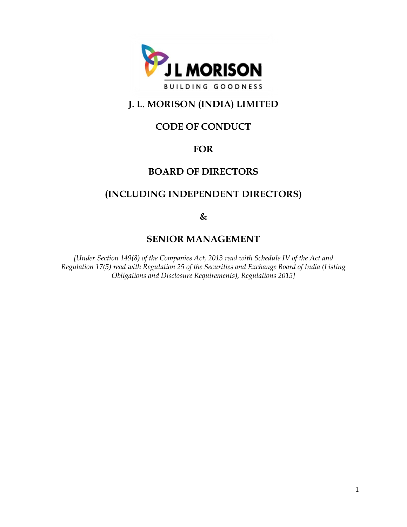

# **J. L. MORISON (INDIA) LIMITED**

# **CODE OF CONDUCT**

## **FOR**

## **BOARD OF DIRECTORS**

## **(INCLUDING INDEPENDENT DIRECTORS)**

**&** 

## **SENIOR MANAGEMENT**

*[Under Section 149(8) of the Companies Act, 2013 read with Schedule IV of the Act and Regulation 17(5) read with Regulation 25 of the Securities and Exchange Board of India (Listing Obligations and Disclosure Requirements), Regulations 2015]*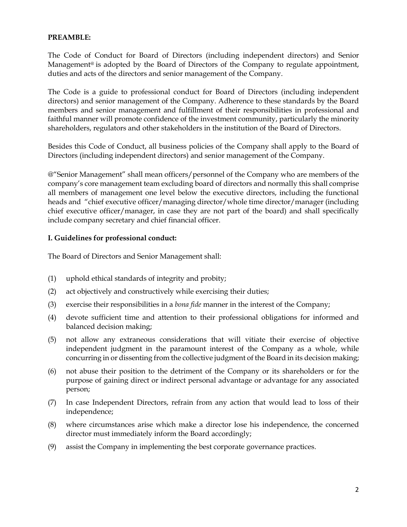#### **PREAMBLE:**

The Code of Conduct for Board of Directors (including independent directors) and Senior Management<sup>®</sup> is adopted by the Board of Directors of the Company to regulate appointment, duties and acts of the directors and senior management of the Company.

The Code is a guide to professional conduct for Board of Directors (including independent directors) and senior management of the Company. Adherence to these standards by the Board members and senior management and fulfillment of their responsibilities in professional and faithful manner will promote confidence of the investment community, particularly the minority shareholders, regulators and other stakeholders in the institution of the Board of Directors.

Besides this Code of Conduct, all business policies of the Company shall apply to the Board of Directors (including independent directors) and senior management of the Company.

@"Senior Management" shall mean officers/personnel of the Company who are members of the company's core management team excluding board of directors and normally this shall comprise all members of management one level below the executive directors, including the functional heads and "chief executive officer/managing director/whole time director/manager (including chief executive officer/manager, in case they are not part of the board) and shall specifically include company secretary and chief financial officer.

### **I. Guidelines for professional conduct:**

The Board of Directors and Senior Management shall:

- (1) uphold ethical standards of integrity and probity;
- (2) act objectively and constructively while exercising their duties;
- (3) exercise their responsibilities in a *bona fide* manner in the interest of the Company;
- (4) devote sufficient time and attention to their professional obligations for informed and balanced decision making;
- (5) not allow any extraneous considerations that will vitiate their exercise of objective independent judgment in the paramount interest of the Company as a whole, while concurring in or dissenting from the collective judgment of the Board in its decision making;
- (6) not abuse their position to the detriment of the Company or its shareholders or for the purpose of gaining direct or indirect personal advantage or advantage for any associated person;
- (7) In case Independent Directors, refrain from any action that would lead to loss of their independence;
- (8) where circumstances arise which make a director lose his independence, the concerned director must immediately inform the Board accordingly;
- (9) assist the Company in implementing the best corporate governance practices.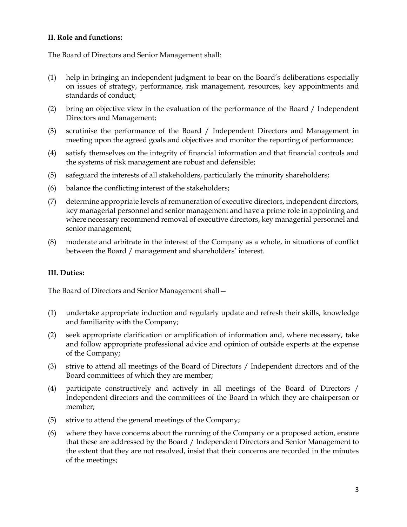## **II. Role and functions:**

The Board of Directors and Senior Management shall:

- (1) help in bringing an independent judgment to bear on the Board's deliberations especially on issues of strategy, performance, risk management, resources, key appointments and standards of conduct;
- (2) bring an objective view in the evaluation of the performance of the Board / Independent Directors and Management;
- (3) scrutinise the performance of the Board / Independent Directors and Management in meeting upon the agreed goals and objectives and monitor the reporting of performance;
- (4) satisfy themselves on the integrity of financial information and that financial controls and the systems of risk management are robust and defensible;
- (5) safeguard the interests of all stakeholders, particularly the minority shareholders;
- (6) balance the conflicting interest of the stakeholders;
- (7) determine appropriate levels of remuneration of executive directors, independent directors, key managerial personnel and senior management and have a prime role in appointing and where necessary recommend removal of executive directors, key managerial personnel and senior management;
- (8) moderate and arbitrate in the interest of the Company as a whole, in situations of conflict between the Board / management and shareholders' interest.

## **III. Duties:**

The Board of Directors and Senior Management shall—

- (1) undertake appropriate induction and regularly update and refresh their skills, knowledge and familiarity with the Company;
- (2) seek appropriate clarification or amplification of information and, where necessary, take and follow appropriate professional advice and opinion of outside experts at the expense of the Company;
- (3) strive to attend all meetings of the Board of Directors / Independent directors and of the Board committees of which they are member;
- (4) participate constructively and actively in all meetings of the Board of Directors / Independent directors and the committees of the Board in which they are chairperson or member;
- (5) strive to attend the general meetings of the Company;
- (6) where they have concerns about the running of the Company or a proposed action, ensure that these are addressed by the Board / Independent Directors and Senior Management to the extent that they are not resolved, insist that their concerns are recorded in the minutes of the meetings;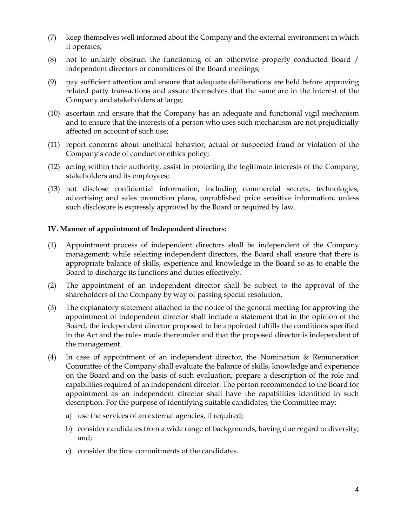- (7) keep themselves well informed about the Company and the external environment in which it operates;
- (8) not to unfairly obstruct the functioning of an otherwise properly conducted Board / independent directors or committees of the Board meetings;
- (9) pay sufficient attention and ensure that adequate deliberations are held before approving related party transactions and assure themselves that the same are in the interest of the Company and stakeholders at large;
- (10) ascertain and ensure that the Company has an adequate and functional vigil mechanism and to ensure that the interests of a person who uses such mechanism are not prejudicially affected on account of such use;
- (11) report concerns about unethical behavior, actual or suspected fraud or violation of the Company's code of conduct or ethics policy;
- (12) acting within their authority, assist in protecting the legitimate interests of the Company, stakeholders and its employees;
- (13) not disclose confidential information, including commercial secrets, technologies, advertising and sales promotion plans, unpublished price sensitive information, unless such disclosure is expressly approved by the Board or required by law.

### **IV. Manner of appointment of Independent directors:**

- (1) Appointment process of independent directors shall be independent of the Company management; while selecting independent directors, the Board shall ensure that there is appropriate balance of skills, experience and knowledge in the Board so as to enable the Board to discharge its functions and duties effectively.
- (2) The appointment of an independent director shall be subject to the approval of the shareholders of the Company by way of passing special resolution.
- (3) The explanatory statement attached to the notice of the general meeting for approving the appointment of independent director shall include a statement that in the opinion of the Board, the independent director proposed to be appointed fulfills the conditions specified in the Act and the rules made thereunder and that the proposed director is independent of the management.
- (4) In case of appointment of an independent director, the Nomination & Remuneration Committee of the Company shall evaluate the balance of skills, knowledge and experience on the Board and on the basis of such evaluation, prepare a description of the role and capabilities required of an independent director. The person recommended to the Board for appointment as an independent director shall have the capabilities identified in such description. For the purpose of identifying suitable candidates, the Committee may:
	- a) use the services of an external agencies, if required;
	- b) consider candidates from a wide range of backgrounds, having due regard to diversity; and;
	- c) consider the time commitments of the candidates.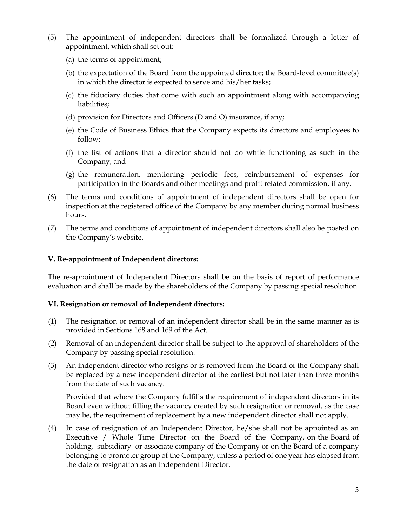- (5) The appointment of independent directors shall be formalized through a letter of appointment, which shall set out:
	- (a) the terms of appointment;
	- (b) the expectation of the Board from the appointed director; the Board-level committee(s) in which the director is expected to serve and his/her tasks;
	- (c) the fiduciary duties that come with such an appointment along with accompanying liabilities;
	- (d) provision for Directors and Officers (D and O) insurance, if any;
	- (e) the Code of Business Ethics that the Company expects its directors and employees to follow;
	- (f) the list of actions that a director should not do while functioning as such in the Company; and
	- (g) the remuneration, mentioning periodic fees, reimbursement of expenses for participation in the Boards and other meetings and profit related commission, if any.
- (6) The terms and conditions of appointment of independent directors shall be open for inspection at the registered office of the Company by any member during normal business hours.
- (7) The terms and conditions of appointment of independent directors shall also be posted on the Company's website.

#### **V. Re-appointment of Independent directors:**

The re-appointment of Independent Directors shall be on the basis of report of performance evaluation and shall be made by the shareholders of the Company by passing special resolution.

#### **VI. Resignation or removal of Independent directors:**

- (1) The resignation or removal of an independent director shall be in the same manner as is provided in Sections 168 and 169 of the Act.
- (2) Removal of an independent director shall be subject to the approval of shareholders of the Company by passing special resolution.
- (3) An independent director who resigns or is removed from the Board of the Company shall be replaced by a new independent director at the earliest but not later than three months from the date of such vacancy.

Provided that where the Company fulfills the requirement of independent directors in its Board even without filling the vacancy created by such resignation or removal, as the case may be, the requirement of replacement by a new independent director shall not apply.

(4) In case of resignation of an Independent Director, he/she shall not be appointed as an Executive / Whole Time Director on the Board of the Company, on the Board of holding, subsidiary or associate company of the Company or on the Board of a company belonging to promoter group of the Company, unless a period of one year has elapsed from the date of resignation as an Independent Director.